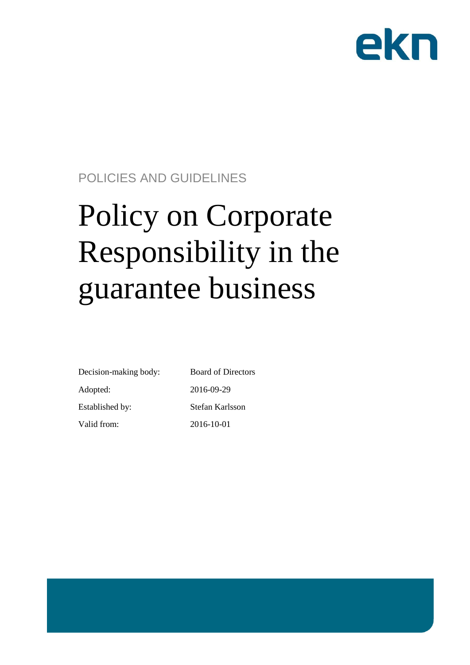

# POLICIES AND GUIDELINES

# Policy on Corporate Responsibility in the guarantee business

| Decision-making body: | <b>Board of Directors</b> |
|-----------------------|---------------------------|
| Adopted:              | 2016-09-29                |
| Established by:       | Stefan Karlsson           |
| Valid from:           | 2016-10-01                |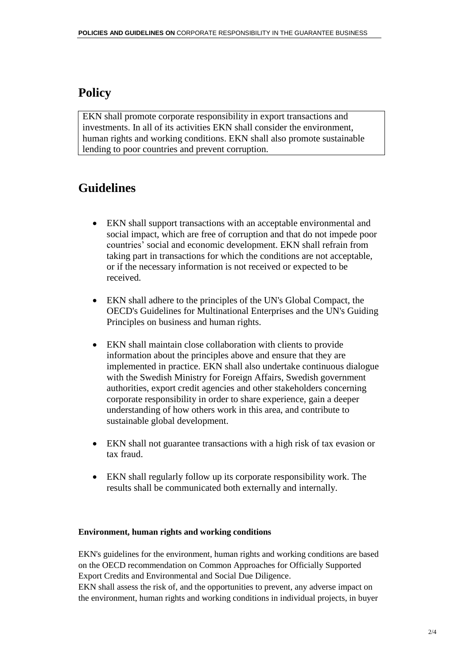## **Policy**

EKN shall promote corporate responsibility in export transactions and investments. In all of its activities EKN shall consider the environment, human rights and working conditions. EKN shall also promote sustainable lending to poor countries and prevent corruption.

## **Guidelines**

- EKN shall support transactions with an acceptable environmental and social impact, which are free of corruption and that do not impede poor countries' social and economic development. EKN shall refrain from taking part in transactions for which the conditions are not acceptable, or if the necessary information is not received or expected to be received.
- EKN shall adhere to the principles of the UN's Global Compact, the OECD's Guidelines for Multinational Enterprises and the UN's Guiding Principles on business and human rights.
- EKN shall maintain close collaboration with clients to provide information about the principles above and ensure that they are implemented in practice. EKN shall also undertake continuous dialogue with the Swedish Ministry for Foreign Affairs, Swedish government authorities, export credit agencies and other stakeholders concerning corporate responsibility in order to share experience, gain a deeper understanding of how others work in this area, and contribute to sustainable global development.
- EKN shall not guarantee transactions with a high risk of tax evasion or tax fraud.
- EKN shall regularly follow up its corporate responsibility work. The results shall be communicated both externally and internally.

## **Environment, human rights and working conditions**

EKN's guidelines for the environment, human rights and working conditions are based on the OECD recommendation on Common Approaches for Officially Supported Export Credits and Environmental and Social Due Diligence.

EKN shall assess the risk of, and the opportunities to prevent, any adverse impact on the environment, human rights and working conditions in individual projects, in buyer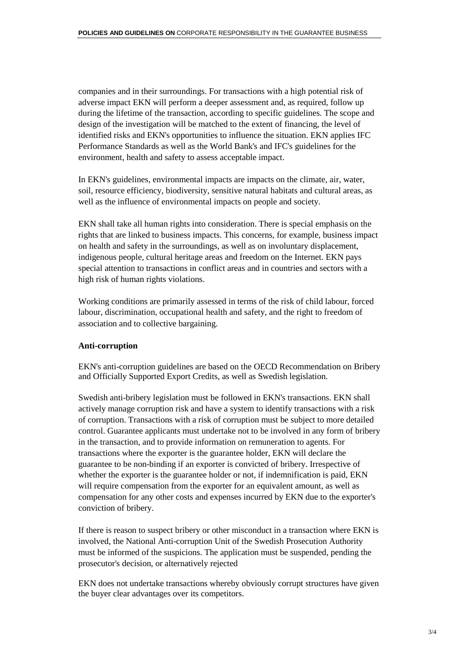companies and in their surroundings. For transactions with a high potential risk of adverse impact EKN will perform a deeper assessment and, as required, follow up during the lifetime of the transaction, according to specific guidelines. The scope and design of the investigation will be matched to the extent of financing, the level of identified risks and EKN's opportunities to influence the situation. EKN applies IFC Performance Standards as well as the World Bank's and IFC's guidelines for the environment, health and safety to assess acceptable impact.

In EKN's guidelines, environmental impacts are impacts on the climate, air, water, soil, resource efficiency, biodiversity, sensitive natural habitats and cultural areas, as well as the influence of environmental impacts on people and society.

EKN shall take all human rights into consideration. There is special emphasis on the rights that are linked to business impacts. This concerns, for example, business impact on health and safety in the surroundings, as well as on involuntary displacement, indigenous people, cultural heritage areas and freedom on the Internet. EKN pays special attention to transactions in conflict areas and in countries and sectors with a high risk of human rights violations.

Working conditions are primarily assessed in terms of the risk of child labour, forced labour, discrimination, occupational health and safety, and the right to freedom of association and to collective bargaining.

### **Anti-corruption**

EKN's anti-corruption guidelines are based on the [OECD Recommendation on Bribery](http://www.oecd.org/officialdocuments/displaydocument/?cote=td/ecg(2006)24&doclanguage=en)  [and Officially Supported Export Credits,](http://www.oecd.org/officialdocuments/displaydocument/?cote=td/ecg(2006)24&doclanguage=en) as well as Swedish legislation.

Swedish anti-bribery legislation must be followed in EKN's transactions. EKN shall actively manage corruption risk and have a system to identify transactions with a risk of corruption. Transactions with a risk of corruption must be subject to more detailed control. Guarantee applicants must undertake not to be involved in any form of bribery in the transaction, and to provide information on remuneration to agents. For transactions where the exporter is the guarantee holder, EKN will declare the guarantee to be non-binding if an exporter is convicted of bribery. Irrespective of whether the exporter is the guarantee holder or not, if indemnification is paid, EKN will require compensation from the exporter for an equivalent amount, as well as compensation for any other costs and expenses incurred by EKN due to the exporter's conviction of bribery.

If there is reason to suspect bribery or other misconduct in a transaction where EKN is involved, the National Anti-corruption Unit of the Swedish Prosecution Authority must be informed of the suspicions. The application must be suspended, pending the prosecutor's decision, or alternatively rejected

EKN does not undertake transactions whereby obviously corrupt structures have given the buyer clear advantages over its competitors.